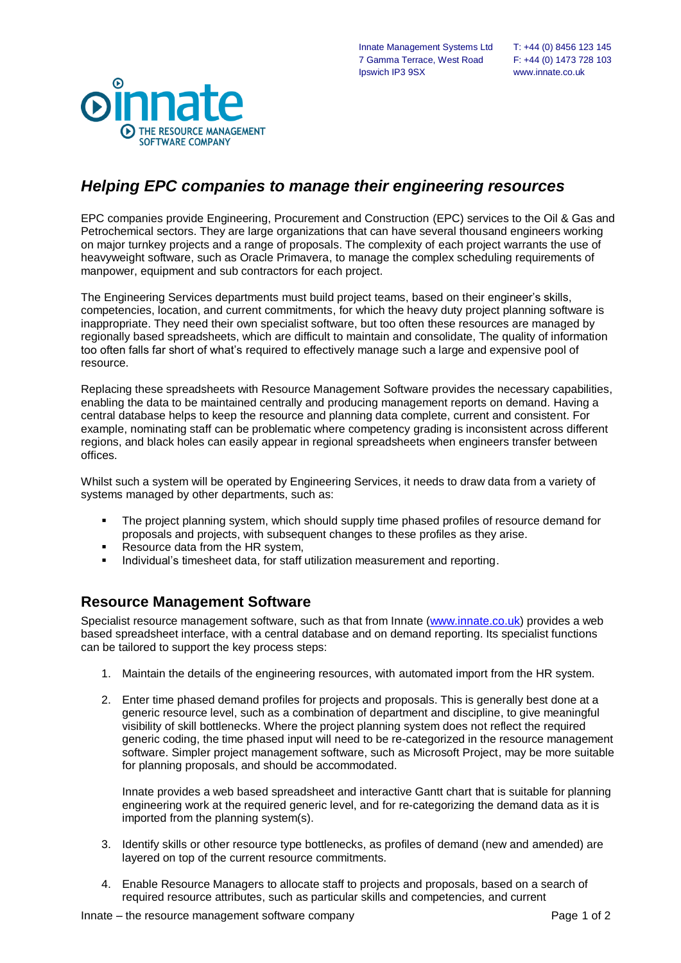

## *Helping EPC companies to manage their engineering resources*

EPC companies provide Engineering, Procurement and Construction (EPC) services to the Oil & Gas and Petrochemical sectors. They are large organizations that can have several thousand engineers working on major turnkey projects and a range of proposals. The complexity of each project warrants the use of heavyweight software, such as Oracle Primavera, to manage the complex scheduling requirements of manpower, equipment and sub contractors for each project.

The Engineering Services departments must build project teams, based on their engineer's skills, competencies, location, and current commitments, for which the heavy duty project planning software is inappropriate. They need their own specialist software, but too often these resources are managed by regionally based spreadsheets, which are difficult to maintain and consolidate, The quality of information too often falls far short of what's required to effectively manage such a large and expensive pool of resource.

Replacing these spreadsheets with Resource Management Software provides the necessary capabilities, enabling the data to be maintained centrally and producing management reports on demand. Having a central database helps to keep the resource and planning data complete, current and consistent. For example, nominating staff can be problematic where competency grading is inconsistent across different regions, and black holes can easily appear in regional spreadsheets when engineers transfer between offices.

Whilst such a system will be operated by Engineering Services, it needs to draw data from a variety of systems managed by other departments, such as:

- The project planning system, which should supply time phased profiles of resource demand for proposals and projects, with subsequent changes to these profiles as they arise.
- **Resource data from the HR system,**
- **Individual's timesheet data, for staff utilization measurement and reporting.**

## **Resource Management Software**

Specialist resource management software, such as that from Innate [\(www.innate.co.uk\)](http://www.innate.co.uk/) provides a web based spreadsheet interface, with a central database and on demand reporting. Its specialist functions can be tailored to support the key process steps:

- 1. Maintain the details of the engineering resources, with automated import from the HR system.
- 2. Enter time phased demand profiles for projects and proposals. This is generally best done at a generic resource level, such as a combination of department and discipline, to give meaningful visibility of skill bottlenecks. Where the project planning system does not reflect the required generic coding, the time phased input will need to be re-categorized in the resource management software. Simpler project management software, such as Microsoft Project, may be more suitable for planning proposals, and should be accommodated.

Innate provides a web based spreadsheet and interactive Gantt chart that is suitable for planning engineering work at the required generic level, and for re-categorizing the demand data as it is imported from the planning system(s).

- 3. Identify skills or other resource type bottlenecks, as profiles of demand (new and amended) are layered on top of the current resource commitments.
- 4. Enable Resource Managers to allocate staff to projects and proposals, based on a search of required resource attributes, such as particular skills and competencies, and current